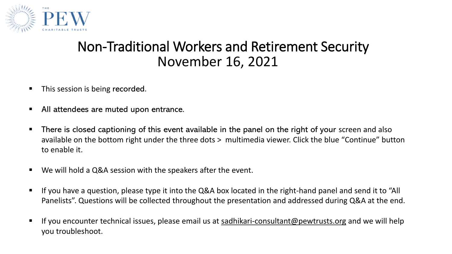

#### Non-Traditional Workers and Retirement Security November 16, 2021

- This session is being recorded.
- All attendees are muted upon entrance.
- **There is closed captioning of this event available in the panel on the right of your screen and also** available on the bottom right under the three dots > multimedia viewer. Click the blue "Continue" button to enable it.
- We will hold a Q&A session with the speakers after the event.
- If you have a question, please type it into the Q&A box located in the right-hand panel and send it to "All Panelists". Questions will be collected throughout the presentation and addressed during Q&A at the end.
- If you encounter technical issues, please email us at [sadhikari-consultant@pewtrusts.org](mailto:sadhikari-consultant@pewtrusts.org) and we will help you troubleshoot.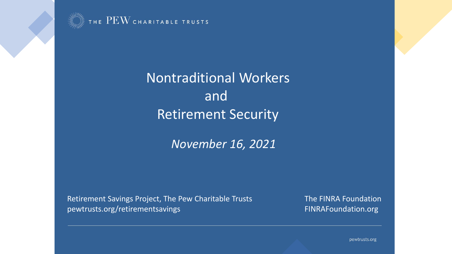

THE  $\mathrm{PEW}$  charitable trusts

Nontraditional Workers and Retirement Security

*November 16, 2021*

Retirement Savings Project, The Pew Charitable Trusts The FINRA Foundation pewtrusts.org/retirementsavings FINRAFoundation.org

pewtrusts.org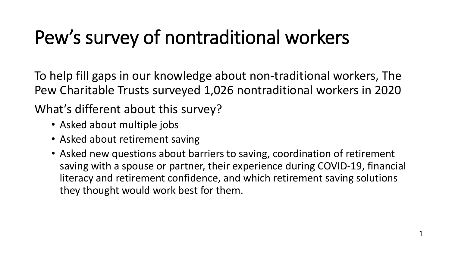## Pew's survey of nontraditional workers

To help fill gaps in our knowledge about non-traditional workers, The Pew Charitable Trusts surveyed 1,026 nontraditional workers in 2020

What's different about this survey?

- Asked about multiple jobs
- Asked about retirement saving
- Asked new questions about barriers to saving, coordination of retirement saving with a spouse or partner, their experience during COVID-19, financial literacy and retirement confidence, and which retirement saving solutions they thought would work best for them.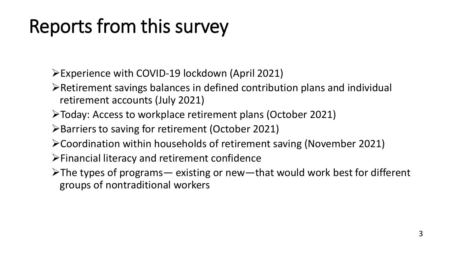## Reports from this survey

➢Experience with COVID-19 lockdown (April 2021)

- ➢Retirement savings balances in defined contribution plans and individual retirement accounts (July 2021)
- ➢Today: Access to workplace retirement plans (October 2021)

➢Barriers to saving for retirement (October 2021)

➢Coordination within households of retirement saving (November 2021)

➢Financial literacy and retirement confidence

➢The types of programs— existing or new—that would work best for different groups of nontraditional workers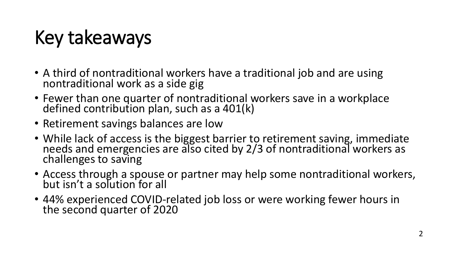# Key takeaways

- A third of nontraditional workers have a traditional job and are using nontraditional work as a side gig
- Fewer than one quarter of nontraditional workers save in a workplace defined contribution plan, such as a 401(k)
- Retirement savings balances are low
- While lack of access is the biggest barrier to retirement saving, immediate needs and emergencies are also cited by 2/3 of nontraditional workers as challenges to saving
- Access through a spouse or partner may help some nontraditional workers, but isn't a solution for all
- 44% experienced COVID-related job loss or were working fewer hours in the second quarter of 2020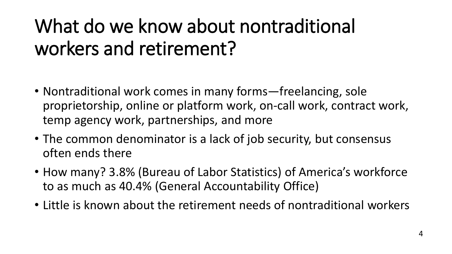# What do we know about nontraditional workers and retirement?

- Nontraditional work comes in many forms—freelancing, sole proprietorship, online or platform work, on-call work, contract work, temp agency work, partnerships, and more
- The common denominator is a lack of job security, but consensus often ends there
- How many? 3.8% (Bureau of Labor Statistics) of America's workforce to as much as 40.4% (General Accountability Office)
- Little is known about the retirement needs of nontraditional workers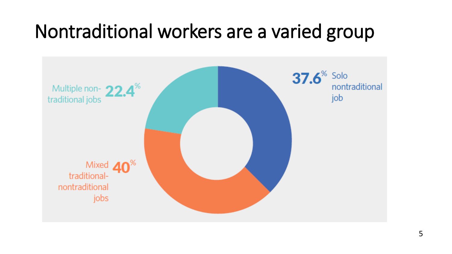#### Nontraditional workers are a varied group

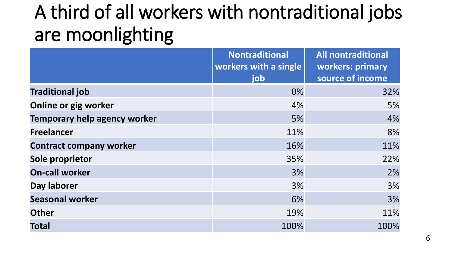#### A third of all workers with nontraditional jobs are moonlighting

|                                | <b>Nontraditional</b> | <b>All nontraditional</b> |
|--------------------------------|-----------------------|---------------------------|
|                                | workers with a single | workers: primary          |
|                                | job                   | source of income          |
| <b>Traditional job</b>         | 0%                    | 32%                       |
| Online or gig worker           | 4%                    | 5%                        |
| Temporary help agency worker   | 5%                    | 4%                        |
| <b>Freelancer</b>              | 11%                   | 8%                        |
| <b>Contract company worker</b> | 16%                   | 11%                       |
| Sole proprietor                | 35%                   | 22%                       |
| <b>On-call worker</b>          | 3%                    | 2%                        |
| Day laborer                    | 3%                    | 3%                        |
| <b>Seasonal worker</b>         | 6%                    | 3%                        |
| <b>Other</b>                   | 19%                   | 11%                       |
| <b>Total</b>                   | 100%                  | 100%                      |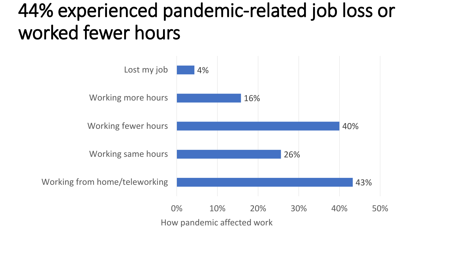#### 44% experienced pandemic-related job loss or worked fewer hours

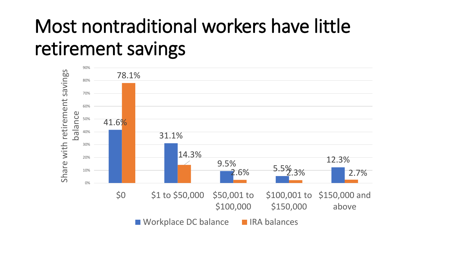## Most nontraditional workers have little retirement savings

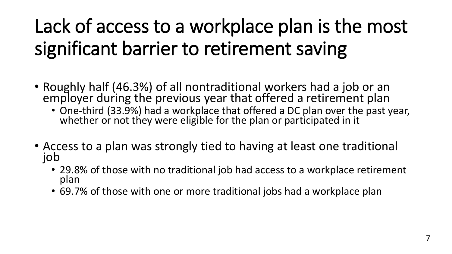# Lack of access to a workplace plan is the most significant barrier to retirement saving

- Roughly half (46.3%) of all nontraditional workers had a job or an employer during the previous year that offered a retirement plan
	- One-third (33.9%) had a workplace that offered a DC plan over the past year, whether or not they were eligible for the plan or participated in it
- Access to a plan was strongly tied to having at least one traditional job
	- 29.8% of those with no traditional job had access to a workplace retirement plan
	- 69.7% of those with one or more traditional jobs had a workplace plan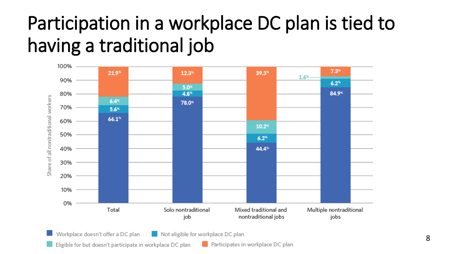## Participation in a workplace DC plan is tied to having a traditional job

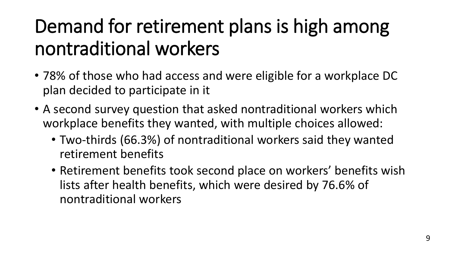## Demand for retirement plans is high among nontraditional workers

- 78% of those who had access and were eligible for a workplace DC plan decided to participate in it
- A second survey question that asked nontraditional workers which workplace benefits they wanted, with multiple choices allowed:
	- Two-thirds (66.3%) of nontraditional workers said they wanted retirement benefits
	- Retirement benefits took second place on workers' benefits wish lists after health benefits, which were desired by 76.6% of nontraditional workers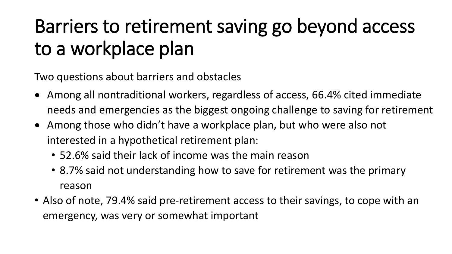## Barriers to retirement saving go beyond access to a workplace plan

Two questions about barriers and obstacles

- Among all nontraditional workers, regardless of access, 66.4% cited immediate needs and emergencies as the biggest ongoing challenge to saving for retirement
- Among those who didn't have a workplace plan, but who were also not interested in a hypothetical retirement plan:
	- 52.6% said their lack of income was the main reason
	- 8.7% said not understanding how to save for retirement was the primary reason
- Also of note, 79.4% said pre-retirement access to their savings, to cope with an emergency, was very or somewhat important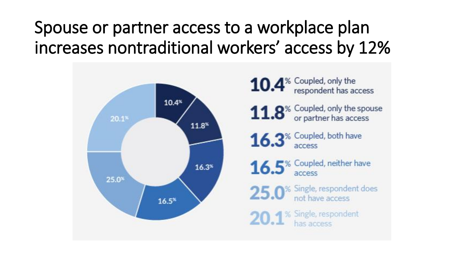#### Spouse or partner access to a workplace plan increases nontraditional workers' access by 12%

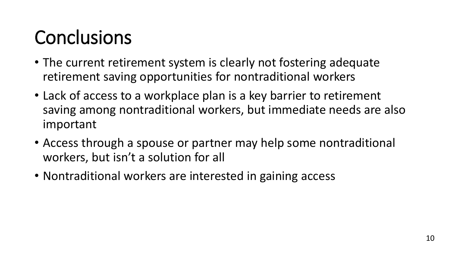# **Conclusions**

- The current retirement system is clearly not fostering adequate retirement saving opportunities for nontraditional workers
- Lack of access to a workplace plan is a key barrier to retirement saving among nontraditional workers, but immediate needs are also important
- Access through a spouse or partner may help some nontraditional workers, but isn't a solution for all
- Nontraditional workers are interested in gaining access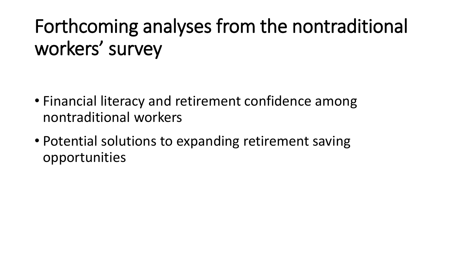# Forthcoming analyses from the nontraditional workers' survey

- Financial literacy and retirement confidence among nontraditional workers
- Potential solutions to expanding retirement saving opportunities